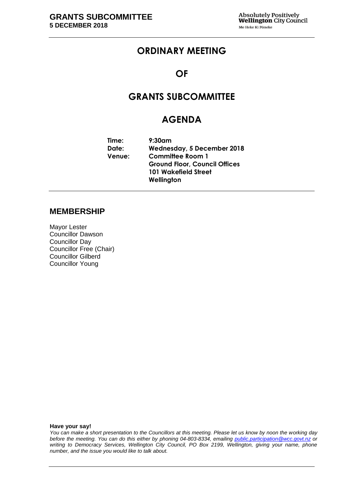## **ORDINARY MEETING**

## **OF**

## **GRANTS SUBCOMMITTEE**

## **AGENDA**

| Time:  | $9:30$ am                            |  |  |
|--------|--------------------------------------|--|--|
| Date:  | Wednesday, 5 December 2018           |  |  |
| Venue: | <b>Committee Room 1</b>              |  |  |
|        | <b>Ground Floor, Council Offices</b> |  |  |
|        | <b>101 Wakefield Street</b>          |  |  |
|        | Wellington                           |  |  |

### **MEMBERSHIP**

Mayor Lester Councillor Dawson Councillor Day Councillor Free (Chair) Councillor Gilberd Councillor Young

**Have your say!**

*You can make a short presentation to the Councillors at this meeting. Please let us know by noon the working day before the meeting. You can do this either by phoning 04-803-8334, emailing public.participation@wcc.govt.nz or writing to Democracy Services, Wellington City Council, PO Box 2199, Wellington, giving your name, phone number, and the issue you would like to talk about.*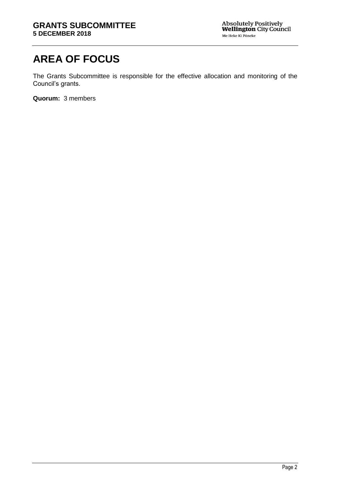# **AREA OF FOCUS**

The Grants Subcommittee is responsible for the effective allocation and monitoring of the Council's grants.

**Quorum:** 3 members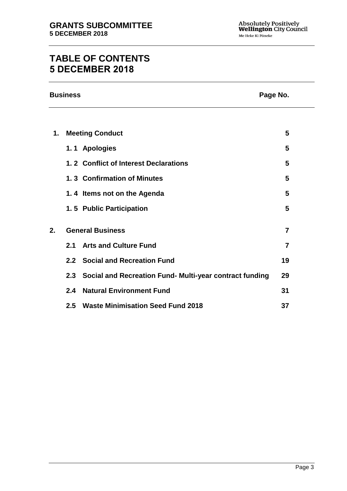## **TABLE OF CONTENTS 5 DECEMBER 2018**

|    | <b>Business</b><br>Page No. |                                                         |    |  |  |  |  |
|----|-----------------------------|---------------------------------------------------------|----|--|--|--|--|
|    |                             |                                                         |    |  |  |  |  |
| 1. |                             | <b>Meeting Conduct</b>                                  | 5  |  |  |  |  |
|    |                             | 1.1 Apologies                                           | 5  |  |  |  |  |
|    |                             | 1.2 Conflict of Interest Declarations                   | 5  |  |  |  |  |
|    |                             | 1.3 Confirmation of Minutes                             | 5  |  |  |  |  |
|    |                             | 1.4 Items not on the Agenda                             | 5  |  |  |  |  |
|    |                             | 1.5 Public Participation                                | 5  |  |  |  |  |
| 2. |                             | <b>General Business</b>                                 | 7  |  |  |  |  |
|    | 2.1                         | <b>Arts and Culture Fund</b>                            | 7  |  |  |  |  |
|    |                             | 2.2 Social and Recreation Fund                          | 19 |  |  |  |  |
|    | 2.3                         | Social and Recreation Fund- Multi-year contract funding | 29 |  |  |  |  |
|    | 2.4                         | <b>Natural Environment Fund</b>                         | 31 |  |  |  |  |
|    | 2.5                         | <b>Waste Minimisation Seed Fund 2018</b>                | 37 |  |  |  |  |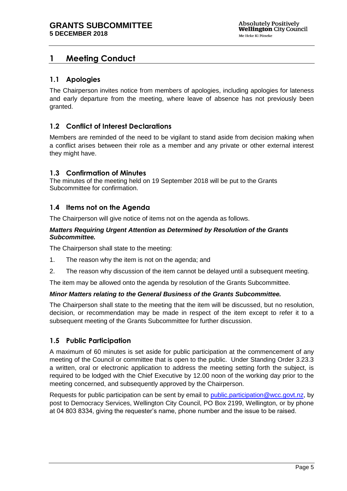## <span id="page-4-0"></span>**1 Meeting Conduct**

### <span id="page-4-1"></span>**1.1 Apologies**

The Chairperson invites notice from members of apologies, including apologies for lateness and early departure from the meeting, where leave of absence has not previously been granted.

### <span id="page-4-2"></span>**1.2 Conflict of Interest Declarations**

Members are reminded of the need to be vigilant to stand aside from decision making when a conflict arises between their role as a member and any private or other external interest they might have.

### <span id="page-4-3"></span>**1.3 Confirmation of Minutes**

The minutes of the meeting held on 19 September 2018 will be put to the Grants Subcommittee for confirmation.

### <span id="page-4-4"></span>**1.4 Items not on the Agenda**

The Chairperson will give notice of items not on the agenda as follows.

#### *Matters Requiring Urgent Attention as Determined by Resolution of the Grants Subcommittee.*

The Chairperson shall state to the meeting:

- 1. The reason why the item is not on the agenda; and
- 2. The reason why discussion of the item cannot be delayed until a subsequent meeting.

The item may be allowed onto the agenda by resolution of the Grants Subcommittee.

### *Minor Matters relating to the General Business of the Grants Subcommittee.*

The Chairperson shall state to the meeting that the item will be discussed, but no resolution, decision, or recommendation may be made in respect of the item except to refer it to a subsequent meeting of the Grants Subcommittee for further discussion.

### <span id="page-4-5"></span>**1.5 Public Participation**

A maximum of 60 minutes is set aside for public participation at the commencement of any meeting of the Council or committee that is open to the public. Under Standing Order 3.23.3 a written, oral or electronic application to address the meeting setting forth the subject, is required to be lodged with the Chief Executive by 12.00 noon of the working day prior to the meeting concerned, and subsequently approved by the Chairperson.

Requests for public participation can be sent by email to [public.participation@wcc.govt.nz,](mailto:public.participation@wcc.govt.nz) by post to Democracy Services, Wellington City Council, PO Box 2199, Wellington, or by phone at 04 803 8334, giving the requester's name, phone number and the issue to be raised.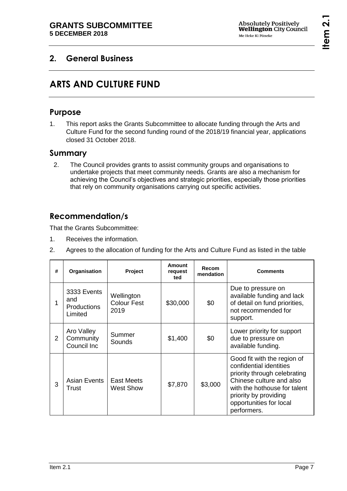## <span id="page-6-1"></span><span id="page-6-0"></span>**2. General Business**

# **ARTS AND CULTURE FUND**

## **Purpose**

1. This report asks the Grants Subcommittee to allocate funding through the Arts and Culture Fund for the second funding round of the 2018/19 financial year, applications closed 31 October 2018.

## **Summary**

2. The Council provides grants to assist community groups and organisations to undertake projects that meet community needs. Grants are also a mechanism for achieving the Council's objectives and strategic priorities, especially those priorities that rely on community organisations carrying out specific activities.

## **Recommendation/s**

That the Grants Subcommittee:

- 1. Receives the information.
- 2. Agrees to the allocation of funding for the Arts and Culture Fund as listed in the table

| #             | Organisation                                        | Project                                  | Amount<br>request<br>ted | Recom<br>mendation | <b>Comments</b>                                                                                                                                                                                                       |
|---------------|-----------------------------------------------------|------------------------------------------|--------------------------|--------------------|-----------------------------------------------------------------------------------------------------------------------------------------------------------------------------------------------------------------------|
| 1             | 3333 Events<br>and<br><b>Productions</b><br>Limited | Wellington<br><b>Colour Fest</b><br>2019 | \$30,000                 | \$0                | Due to pressure on<br>available funding and lack<br>of detail on fund priorities,<br>not recommended for<br>support.                                                                                                  |
| $\mathcal{P}$ | Aro Valley<br>Community<br>Council Inc              | Summer<br>Sounds                         | \$1,400                  | \$0                | Lower priority for support<br>due to pressure on<br>available funding.                                                                                                                                                |
| 3             | Asian Events<br>Trust                               | East Meets<br><b>West Show</b>           | \$7,870                  | \$3,000            | Good fit with the region of<br>confidential identities<br>priority through celebrating<br>Chinese culture and also<br>with the hothouse for talent<br>priority by providing<br>opportunities for local<br>performers. |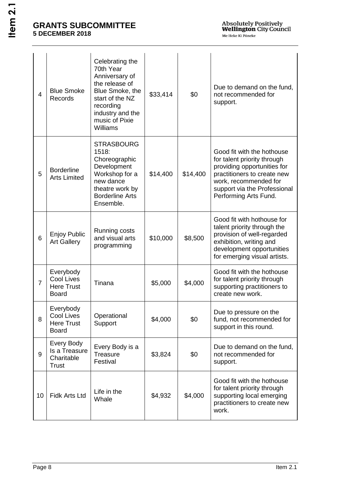| 4              | <b>Blue Smoke</b><br><b>Records</b>                                 | Celebrating the<br>70th Year<br>Anniversary of<br>the release of<br>Blue Smoke, the<br>start of the NZ<br>recording<br>industry and the<br>music of Pixie<br>Williams | \$33,414 | \$0      | Due to demand on the fund,<br>not recommended for<br>support.                                                                                                                                             |
|----------------|---------------------------------------------------------------------|-----------------------------------------------------------------------------------------------------------------------------------------------------------------------|----------|----------|-----------------------------------------------------------------------------------------------------------------------------------------------------------------------------------------------------------|
| 5              | <b>Borderline</b><br><b>Arts Limited</b>                            | <b>STRASBOURG</b><br>1518:<br>Choreographic<br>Development<br>Workshop for a<br>new dance<br>theatre work by<br><b>Borderline Arts</b><br>Ensemble.                   | \$14,400 | \$14,400 | Good fit with the hothouse<br>for talent priority through<br>providing opportunities for<br>practitioners to create new<br>work, recommended for<br>support via the Professional<br>Performing Arts Fund. |
| 6              | <b>Enjoy Public</b><br><b>Art Gallery</b>                           | Running costs<br>and visual arts<br>programming                                                                                                                       | \$10,000 | \$8,500  | Good fit with hothouse for<br>talent priority through the<br>provision of well-regarded<br>exhibition, writing and<br>development opportunities<br>for emerging visual artists.                           |
| $\overline{7}$ | Everybody<br><b>Cool Lives</b><br><b>Here Trust</b><br><b>Board</b> | Tinana                                                                                                                                                                | \$5,000  | \$4,000  | Good fit with the hothouse<br>for talent priority through<br>supporting practitioners to<br>create new work.                                                                                              |
| 8              | Everybody<br><b>Cool Lives</b><br><b>Here Trust</b><br><b>Board</b> | Operational<br>Support                                                                                                                                                | \$4,000  | \$0      | Due to pressure on the<br>fund, not recommended for<br>support in this round.                                                                                                                             |
| 9              | Every Body<br>Is a Treasure<br>Charitable<br><b>Trust</b>           | Every Body is a<br>Treasure<br>Festival                                                                                                                               | \$3,824  | \$0      | Due to demand on the fund,<br>not recommended for<br>support.                                                                                                                                             |
| 10             | <b>Fidk Arts Ltd</b>                                                | Life in the<br>Whale                                                                                                                                                  | \$4,932  | \$4,000  | Good fit with the hothouse<br>for talent priority through<br>supporting local emerging<br>practitioners to create new<br>work.                                                                            |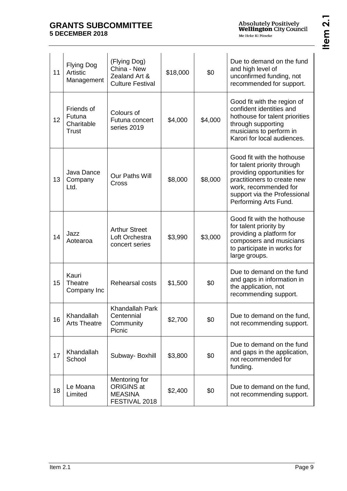| 11 | <b>Flying Dog</b><br>Artistic<br>Management | (Flying Dog)<br>China - New<br>Zealand Art &<br><b>Culture Festival</b> | \$18,000 | \$0     | Due to demand on the fund<br>and high level of<br>unconfirmed funding, not<br>recommended for support.                                                                                                    |
|----|---------------------------------------------|-------------------------------------------------------------------------|----------|---------|-----------------------------------------------------------------------------------------------------------------------------------------------------------------------------------------------------------|
| 12 | Friends of<br>Futuna<br>Charitable<br>Trust | Colours of<br>Futuna concert<br>series 2019                             | \$4,000  | \$4,000 | Good fit with the region of<br>confident identities and<br>hothouse for talent priorities<br>through supporting<br>musicians to perform in<br>Karori for local audiences.                                 |
| 13 | Java Dance<br>Company<br>Ltd.               | <b>Our Paths Will</b><br>Cross                                          | \$8,000  | \$8,000 | Good fit with the hothouse<br>for talent priority through<br>providing opportunities for<br>practitioners to create new<br>work, recommended for<br>support via the Professional<br>Performing Arts Fund. |
| 14 | Jazz<br>Aotearoa                            | <b>Arthur Street</b><br>Loft Orchestra<br>concert series                | \$3,990  | \$3,000 | Good fit with the hothouse<br>for talent priority by<br>providing a platform for<br>composers and musicians<br>to participate in works for<br>large groups.                                               |
| 15 | Kauri<br><b>Theatre</b><br>Company Inc      | Rehearsal costs                                                         | \$1,500  | \$0     | Due to demand on the fund<br>and gaps in information in<br>the application, not<br>recommending support.                                                                                                  |
| 16 | Khandallah<br><b>Arts Theatre</b>           | <b>Khandallah Park</b><br>Centennial<br>Community<br>Picnic             | \$2,700  | \$0     | Due to demand on the fund,<br>not recommending support.                                                                                                                                                   |
| 17 | Khandallah<br>School                        | Subway-Boxhill                                                          | \$3,800  | \$0     | Due to demand on the fund<br>and gaps in the application,<br>not recommended for<br>funding.                                                                                                              |
| 18 | Le Moana<br>Limited                         | Mentoring for<br><b>ORIGINS at</b><br><b>MEASINA</b><br>FESTIVAL 2018   | \$2,400  | \$0     | Due to demand on the fund,<br>not recommending support.                                                                                                                                                   |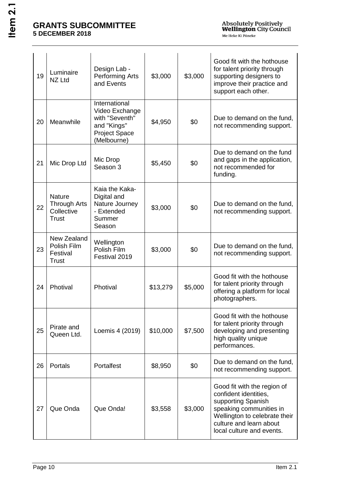| 19 | Luminaire<br>NZ Ltd                                                | Design Lab -<br><b>Performing Arts</b><br>and Events                                                    | \$3,000  | \$3,000 | Good fit with the hothouse<br>for talent priority through<br>supporting designers to<br>improve their practice and<br>support each other.                                                      |
|----|--------------------------------------------------------------------|---------------------------------------------------------------------------------------------------------|----------|---------|------------------------------------------------------------------------------------------------------------------------------------------------------------------------------------------------|
| 20 | Meanwhile                                                          | International<br>Video Exchange<br>with "Seventh"<br>and "Kings"<br><b>Project Space</b><br>(Melbourne) | \$4,950  | \$0     | Due to demand on the fund,<br>not recommending support.                                                                                                                                        |
| 21 | Mic Drop Ltd                                                       | Mic Drop<br>Season 3                                                                                    | \$5,450  | \$0     | Due to demand on the fund<br>and gaps in the application,<br>not recommended for<br>funding.                                                                                                   |
| 22 | <b>Nature</b><br><b>Through Arts</b><br>Collective<br><b>Trust</b> | Kaia the Kaka-<br>Digital and<br>Nature Journey<br>- Extended<br>Summer<br>Season                       | \$3,000  | \$0     | Due to demand on the fund,<br>not recommending support.                                                                                                                                        |
| 23 | New Zealand<br>Polish Film<br>Festival<br><b>Trust</b>             | Wellington<br>Polish Film<br>Festival 2019                                                              | \$3,000  | \$0     | Due to demand on the fund,<br>not recommending support.                                                                                                                                        |
| 24 | Photival                                                           | Photival                                                                                                | \$13,279 | \$5,000 | Good fit with the hothouse<br>for talent priority through<br>offering a platform for local<br>photographers.                                                                                   |
| 25 | Pirate and<br>Queen Ltd.                                           | Loemis 4 (2019)                                                                                         | \$10,000 | \$7,500 | Good fit with the hothouse<br>for talent priority through<br>developing and presenting<br>high quality unique<br>performances.                                                                 |
| 26 | Portals                                                            | Portalfest                                                                                              | \$8,950  | \$0     | Due to demand on the fund,<br>not recommending support.                                                                                                                                        |
| 27 | Que Onda                                                           | Que Onda!                                                                                               | \$3,558  | \$3,000 | Good fit with the region of<br>confident identities,<br>supporting Spanish<br>speaking communities in<br>Wellington to celebrate their<br>culture and learn about<br>local culture and events. |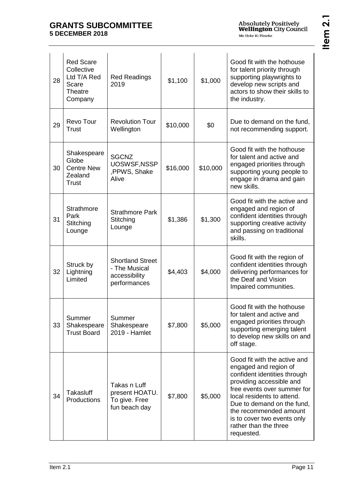| 28 | <b>Red Scare</b><br>Collective<br>Ltd T/A Red<br>Scare<br>Theatre<br>Company | <b>Red Readings</b><br>2019                                               | \$1,100  | \$1,000  | Good fit with the hothouse<br>for talent priority through<br>supporting playwrights to<br>develop new scripts and<br>actors to show their skills to<br>the industry.                                                                                                                                         |
|----|------------------------------------------------------------------------------|---------------------------------------------------------------------------|----------|----------|--------------------------------------------------------------------------------------------------------------------------------------------------------------------------------------------------------------------------------------------------------------------------------------------------------------|
| 29 | Revo Tour<br><b>Trust</b>                                                    | <b>Revolution Tour</b><br>Wellington                                      | \$10,000 | \$0      | Due to demand on the fund,<br>not recommending support.                                                                                                                                                                                                                                                      |
| 30 | Shakespeare<br>Globe<br><b>Centre New</b><br>Zealand<br>Trust                | <b>SGCNZ</b><br>UOSWSF, NSSP<br>,PPWS, Shake<br>Alive                     | \$16,000 | \$10,000 | Good fit with the hothouse<br>for talent and active and<br>engaged priorities through<br>supporting young people to<br>engage in drama and gain<br>new skills.                                                                                                                                               |
| 31 | <b>Strathmore</b><br>Park<br>Stitching<br>Lounge                             | <b>Strathmore Park</b><br>Stitching<br>Lounge                             | \$1,386  | \$1,300  | Good fit with the active and<br>engaged and region of<br>confident identities through<br>supporting creative activity<br>and passing on traditional<br>skills.                                                                                                                                               |
| 32 | Struck by<br>Lightning<br>Limited                                            | <b>Shortland Street</b><br>- The Musical<br>accessibility<br>performances | \$4,403  | \$4,000  | Good fit with the region of<br>confident identities through<br>delivering performances for<br>the Deaf and Vision<br>Impaired communities.                                                                                                                                                                   |
| 33 | Summer<br>Shakespeare<br><b>Trust Board</b>                                  | Summer<br>Shakespeare<br>2019 - Hamlet                                    | \$7,800  | \$5,000  | Good fit with the hothouse<br>for talent and active and<br>engaged priorities through<br>supporting emerging talent<br>to develop new skills on and<br>off stage.                                                                                                                                            |
| 34 | Takasluff<br>Productions                                                     | Takas n Luff<br>present HOATU.<br>To give. Free<br>fun beach day          | \$7,800  | \$5,000  | Good fit with the active and<br>engaged and region of<br>confident identities through<br>providing accessible and<br>free events over summer for<br>local residents to attend.<br>Due to demand on the fund,<br>the recommended amount<br>is to cover two events only<br>rather than the three<br>requested. |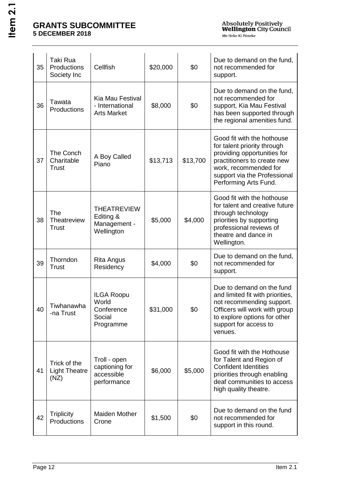| 35 | <b>Taki Rua</b><br>Productions<br>Society Inc | Cellfish                                                        | \$20,000 | \$0      | Due to demand on the fund,<br>not recommended for<br>support.                                                                                                                                             |
|----|-----------------------------------------------|-----------------------------------------------------------------|----------|----------|-----------------------------------------------------------------------------------------------------------------------------------------------------------------------------------------------------------|
| 36 | Tawata<br>Productions                         | Kia Mau Festival<br>- International<br><b>Arts Market</b>       | \$8,000  | \$0      | Due to demand on the fund,<br>not recommended for<br>support, Kia Mau Festival<br>has been supported through<br>the regional amenities fund.                                                              |
| 37 | The Conch<br>Charitable<br><b>Trust</b>       | A Boy Called<br>Piano                                           | \$13,713 | \$13,700 | Good fit with the hothouse<br>for talent priority through<br>providing opportunities for<br>practitioners to create new<br>work, recommended for<br>support via the Professional<br>Performing Arts Fund. |
| 38 | The<br>Theatreview<br><b>Trust</b>            | <b>THEATREVIEW</b><br>Editing &<br>Management -<br>Wellington   | \$5,000  | \$4,000  | Good fit with the hothouse<br>for talent and creative future<br>through technology<br>priorities by supporting<br>professional reviews of<br>theatre and dance in<br>Wellington.                          |
| 39 | Thorndon<br>Trust                             | <b>Rita Angus</b><br>Residency                                  | \$4,000  | \$0      | Due to demand on the fund,<br>not recommended for<br>support.                                                                                                                                             |
| 40 | Tiwhanawha<br>-na Trust                       | <b>ILGA Roopu</b><br>World<br>Conference<br>Social<br>Programme | \$31,000 | \$0      | Due to demand on the fund<br>and limited fit with priorities,<br>not recommending support.<br>Officers will work with group<br>to explore options for other<br>support for access to<br>venues.           |
| 41 | Trick of the<br><b>Light Theatre</b><br>(NZ)  | Troll - open<br>captioning for<br>accessible<br>performance     | \$6,000  | \$5,000  | Good fit with the Hothouse<br>for Talent and Region of<br><b>Confident Identities</b><br>priorities through enabling<br>deaf communities to access<br>high quality theatre.                               |
| 42 | <b>Triplicity</b><br>Productions              | <b>Maiden Mother</b><br>Crone                                   | \$1,500  | \$0      | Due to demand on the fund<br>not recommended for<br>support in this round.                                                                                                                                |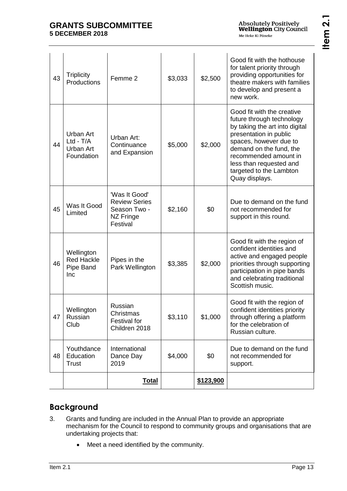**Item 2.1**

| 43 | <b>Triplicity</b><br>Productions                    | Femme 2                                                                        | \$3,033 | \$2,500          | Good fit with the hothouse<br>for talent priority through<br>providing opportunities for<br>theatre makers with families<br>to develop and present a<br>new work.                                                                                                         |
|----|-----------------------------------------------------|--------------------------------------------------------------------------------|---------|------------------|---------------------------------------------------------------------------------------------------------------------------------------------------------------------------------------------------------------------------------------------------------------------------|
| 44 | Urban Art<br>$Ltd - T/A$<br>Urban Art<br>Foundation | Urban Art:<br>Continuance<br>and Expansion                                     | \$5,000 | \$2,000          | Good fit with the creative<br>future through technology<br>by taking the art into digital<br>presentation in public<br>spaces, however due to<br>demand on the fund, the<br>recommended amount in<br>less than requested and<br>targeted to the Lambton<br>Quay displays. |
| 45 | Was It Good<br>Limited                              | 'Was It Good'<br><b>Review Series</b><br>Season Two -<br>NZ Fringe<br>Festival | \$2,160 | \$0              | Due to demand on the fund<br>not recommended for<br>support in this round.                                                                                                                                                                                                |
| 46 | Wellington<br><b>Red Hackle</b><br>Pipe Band<br>Inc | Pipes in the<br>Park Wellington                                                | \$3,385 | \$2,000          | Good fit with the region of<br>confident identities and<br>active and engaged people<br>priorities through supporting<br>participation in pipe bands<br>and celebrating traditional<br>Scottish music.                                                                    |
| 47 | Wellington<br>Russian<br>Club                       | Russian<br>Christmas<br><b>Festival for</b><br>Children 2018                   | \$3,110 | \$1,000          | Good fit with the region of<br>confident identities priority<br>through offering a platform<br>for the celebration of<br>Russian culture.                                                                                                                                 |
| 48 | Youthdance<br>Education<br><b>Trust</b>             | International<br>Dance Day<br>2019                                             | \$4,000 | \$0              | Due to demand on the fund<br>not recommended for<br>support.                                                                                                                                                                                                              |
|    |                                                     | <u>Total</u>                                                                   |         | <u>\$123,900</u> |                                                                                                                                                                                                                                                                           |

## **Background**

- 3. Grants and funding are included in the Annual Plan to provide an appropriate mechanism for the Council to respond to community groups and organisations that are undertaking projects that:
	- Meet a need identified by the community.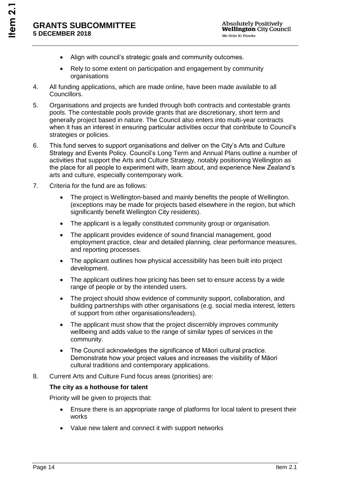- Align with council's strategic goals and community outcomes.
- Rely to some extent on participation and engagement by community organisations
- 4. All funding applications, which are made online, have been made available to all Councillors.
- 5. Organisations and projects are funded through both contracts and contestable grants pools. The contestable pools provide grants that are discretionary, short term and generally project based in nature. The Council also enters into multi-year contracts when it has an interest in ensuring particular activities occur that contribute to Council's strategies or policies.
- 6. This fund serves to support organisations and deliver on the City's Arts and Culture Strategy and Events Policy. Council's Long Term and Annual Plans outline a number of activities that support the Arts and Culture Strategy, notably positioning Wellington as the place for all people to experiment with, learn about, and experience New Zealand's arts and culture, especially contemporary work.
- 7. Criteria for the fund are as follows:
	- The project is Wellington-based and mainly benefits the people of Wellington. (exceptions may be made for projects based elsewhere in the region, but which significantly benefit Wellington City residents).
	- The applicant is a legally constituted community group or organisation.
	- The applicant provides evidence of sound financial management, good employment practice, clear and detailed planning, clear performance measures, and reporting processes.
	- The applicant outlines how physical accessibility has been built into project development.
	- The applicant outlines how pricing has been set to ensure access by a wide range of people or by the intended users.
	- The project should show evidence of community support, collaboration, and building partnerships with other organisations (e.g. social media interest, letters of support from other organisations/leaders).
	- The applicant must show that the project discernibly improves community wellbeing and adds value to the range of similar types of services in the community.
	- The Council acknowledges the significance of Māori cultural practice. Demonstrate how your project values and increases the visibility of Māori cultural traditions and contemporary applications.
- 8. Current Arts and Culture Fund focus areas (priorities) are:

### **The city as a hothouse for talent**

Priority will be given to projects that:

- Ensure there is an appropriate range of platforms for local talent to present their works
- Value new talent and connect it with support networks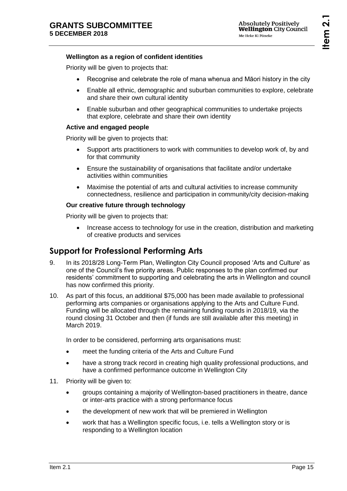### **Wellington as a region of confident identities**

Priority will be given to projects that:

- Recognise and celebrate the role of mana whenua and Māori history in the city
- Enable all ethnic, demographic and suburban communities to explore, celebrate and share their own cultural identity
- Enable suburban and other geographical communities to undertake projects that explore, celebrate and share their own identity

### **Active and engaged people**

Priority will be given to projects that:

- Support arts practitioners to work with communities to develop work of, by and for that community
- Ensure the sustainability of organisations that facilitate and/or undertake activities within communities
- Maximise the potential of arts and cultural activities to increase community connectedness, resilience and participation in community/city decision-making

### **Our creative future through technology**

Priority will be given to projects that:

• Increase access to technology for use in the creation, distribution and marketing of creative products and services

## **Support for Professional Performing Arts**

- 9. In its 2018/28 Long-Term Plan, Wellington City Council proposed 'Arts and Culture' as one of the Council's five priority areas. Public responses to the plan confirmed our residents' commitment to supporting and celebrating the arts in Wellington and council has now confirmed this priority.
- 10. As part of this focus, an additional \$75,000 has been made available to professional performing arts companies or organisations applying to the Arts and Culture Fund. Funding will be allocated through the remaining funding rounds in 2018/19, via the round closing 31 October and then (if funds are still available after this meeting) in March 2019.

In order to be considered, performing arts organisations must:

- meet the funding criteria of the Arts and Culture Fund
- have a strong track record in creating high quality professional productions, and have a confirmed performance outcome in Wellington City
- 11. Priority will be given to:
	- groups containing a majority of Wellington-based practitioners in theatre, dance or inter-arts practice with a strong performance focus
	- the development of new work that will be premiered in Wellington
	- work that has a Wellington specific focus, i.e. tells a Wellington story or is responding to a Wellington location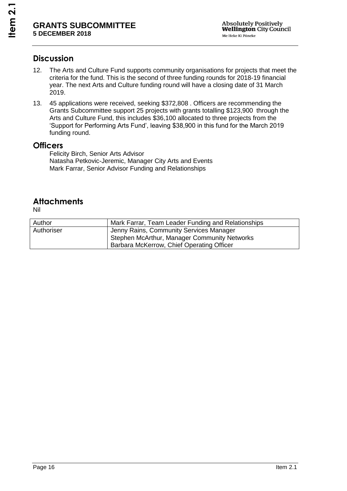## **Discussion**

- 12. The Arts and Culture Fund supports community organisations for projects that meet the criteria for the fund. This is the second of three funding rounds for 2018-19 financial year. The next Arts and Culture funding round will have a closing date of 31 March 2019.
- 13. 45 applications were received, seeking \$372,808 . Officers are recommending the Grants Subcommittee support 25 projects with grants totalling \$123,900 through the Arts and Culture Fund, this includes \$36,100 allocated to three projects from the 'Support for Performing Arts Fund', leaving \$38,900 in this fund for the March 2019 funding round.

### **Officers**

Felicity Birch, Senior Arts Advisor Natasha Petkovic-Jeremic, Manager City Arts and Events Mark Farrar, Senior Advisor Funding and Relationships

## **Attachments**

Nil

| Author     | Mark Farrar, Team Leader Funding and Relationships |
|------------|----------------------------------------------------|
| Authoriser | Jenny Rains, Community Services Manager            |
|            | Stephen McArthur, Manager Community Networks       |
|            | Barbara McKerrow, Chief Operating Officer          |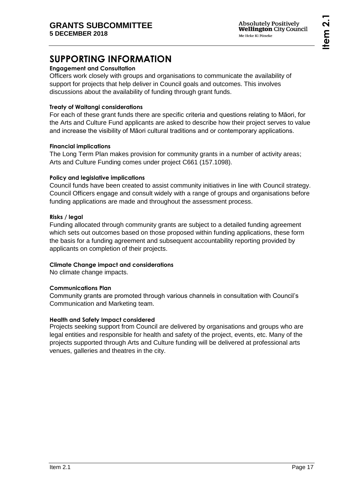# **SUPPORTING INFORMATION**

### **Engagement and Consultation**

Officers work closely with groups and organisations to communicate the availability of support for projects that help deliver in Council goals and outcomes. This involves discussions about the availability of funding through grant funds.

### **Treaty of Waitangi considerations**

For each of these grant funds there are specific criteria and questions relating to Māori, for the Arts and Culture Fund applicants are asked to describe how their project serves to value and increase the visibility of Māori cultural traditions and or contemporary applications.

### **Financial implications**

The Long Term Plan makes provision for community grants in a number of activity areas; Arts and Culture Funding comes under project C661 (157.1098).

### **Policy and legislative implications**

Council funds have been created to assist community initiatives in line with Council strategy. Council Officers engage and consult widely with a range of groups and organisations before funding applications are made and throughout the assessment process.

### **Risks / legal**

Funding allocated through community grants are subject to a detailed funding agreement which sets out outcomes based on those proposed within funding applications, these form the basis for a funding agreement and subsequent accountability reporting provided by applicants on completion of their projects.

### **Climate Change impact and considerations**

No climate change impacts.

### **Communications Plan**

Community grants are promoted through various channels in consultation with Council's Communication and Marketing team.

### **Health and Safety Impact considered**

Projects seeking support from Council are delivered by organisations and groups who are legal entities and responsible for health and safety of the project, events, etc. Many of the projects supported through Arts and Culture funding will be delivered at professional arts venues, galleries and theatres in the city.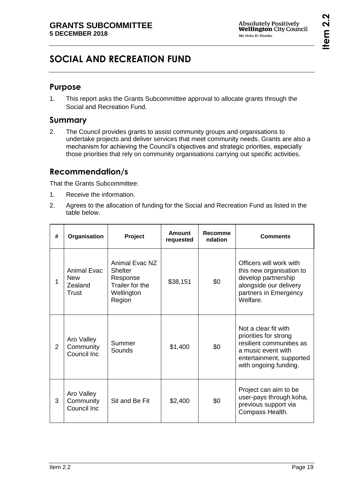# <span id="page-18-0"></span>**SOCIAL AND RECREATION FUND**

## **Purpose**

1. This report asks the Grants Subcommittee approval to allocate grants through the Social and Recreation Fund.

## **Summary**

2. The Council provides grants to assist community groups and organisations to undertake projects and deliver services that meet community needs. Grants are also a mechanism for achieving the Council's objectives and strategic priorities, especially those priorities that rely on community organisations carrying out specific activities.

## **Recommendation/s**

That the Grants Subcommittee:

- 1. Receive the information.
- 2. Agrees to the allocation of funding for the Social and Recreation Fund as listed in the table below.

| # | Organisation                                         | Project                                                                                 | <b>Amount</b><br>requested | <b>Recomme</b><br>ndation | <b>Comments</b>                                                                                                                                      |
|---|------------------------------------------------------|-----------------------------------------------------------------------------------------|----------------------------|---------------------------|------------------------------------------------------------------------------------------------------------------------------------------------------|
| 1 | <b>Animal Evac</b><br><b>New</b><br>Zealand<br>Trust | Animal Evac NZ<br><b>Shelter</b><br>Response<br>Trailer for the<br>Wellington<br>Region | \$38,151                   | \$0                       | Officers will work with<br>this new organisation to<br>develop partnership<br>alongside our delivery<br>partners in Emergency<br>Welfare.            |
| 2 | Aro Valley<br>Community<br>Council Inc               | Summer<br>Sounds                                                                        | \$1,400                    | \$0                       | Not a clear fit with<br>priorities for strong<br>resilient communities as<br>a music event with<br>entertainment, supported<br>with ongoing funding. |
| 3 | Aro Valley<br>Community<br>Council Inc               | Sit and Be Fit                                                                          | \$2,400                    | \$0                       | Project can aim to be<br>user-pays through koha,<br>previous support via<br>Compass Health.                                                          |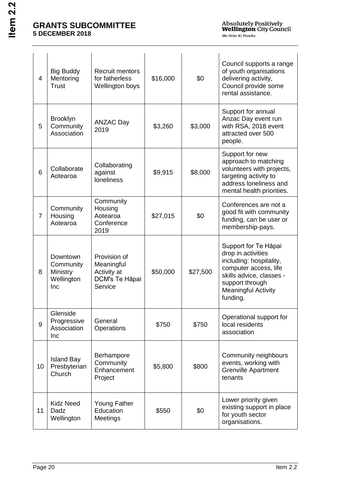| $\overline{4}$ | <b>Big Buddy</b><br>Mentoring<br><b>Trust</b>          | <b>Recruit mentors</b><br>for fatherless<br>Wellington boys            | \$16,000 | \$0      | Council supports a range<br>of youth organisations<br>delivering activity,<br>Council provide some<br>rental assistance.                                                                |
|----------------|--------------------------------------------------------|------------------------------------------------------------------------|----------|----------|-----------------------------------------------------------------------------------------------------------------------------------------------------------------------------------------|
| 5              | <b>Brooklyn</b><br>Community<br>Association            | <b>ANZAC Day</b><br>2019                                               | \$3,260  | \$3,000  | Support for annual<br>Anzac Day event run<br>with RSA, 2018 event<br>attracted over 500<br>people.                                                                                      |
| 6              | Collaborate<br>Aotearoa                                | Collaborating<br>against<br>loneliness                                 | \$9,915  | \$8,000  | Support for new<br>approach to matching<br>volunteers with projects,<br>targeting activity to<br>address loneliness and<br>mental health priorities.                                    |
| $\overline{7}$ | Community<br>Housing<br>Aotearoa                       | Community<br>Housing<br>Aotearoa<br>Conference<br>2019                 | \$27,015 | \$0      | Conferences are not a<br>good fit with community<br>funding, can be user or<br>membership-pays.                                                                                         |
| 8              | Downtown<br>Community<br>Ministry<br>Wellington<br>Inc | Provision of<br>Meaningful<br>Activity at<br>DCM's Te Hāpai<br>Service | \$50,000 | \$27,500 | Support for Te Hāpai<br>drop in activities<br>including: hospitality,<br>computer access, life<br>skills advice, classes -<br>support through<br><b>Meaningful Activity</b><br>funding. |
| $9\,$          | Glenside<br>Progressive<br>Association<br>Inc          | General<br>Operations                                                  | \$750    | \$750    | Operational support for<br>local residents<br>association                                                                                                                               |
| 10             | <b>Island Bay</b><br>Presbyterian<br>Church            | Berhampore<br>Community<br>Enhancement<br>Project                      | \$5,800  | \$800    | Community neighbours<br>events, working with<br><b>Grenville Apartment</b><br>tenants                                                                                                   |
| 11             | <b>Kidz Need</b><br>Dadz<br>Wellington                 | <b>Young Father</b><br>Education<br>Meetings                           | \$550    | \$0      | Lower priority given<br>existing support in place<br>for youth sector<br>organisations.                                                                                                 |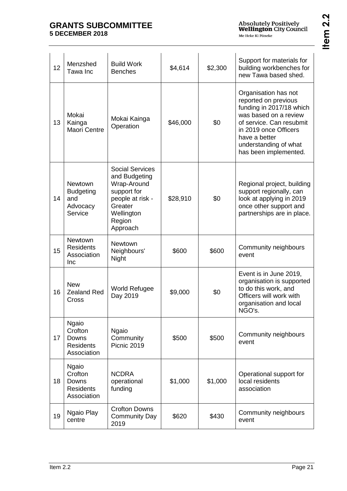Absolutely Positively<br>**Wellington** City Council Me Heke Ki Põneke

| r      |  |
|--------|--|
| ١<br>٥ |  |

| 12 | Menzshed<br>Tawa Inc                                                | <b>Build Work</b><br><b>Benches</b>                                                                                                      | \$4,614  | \$2,300 | Support for materials for<br>building workbenches for<br>new Tawa based shed.                                                                                                                                             |
|----|---------------------------------------------------------------------|------------------------------------------------------------------------------------------------------------------------------------------|----------|---------|---------------------------------------------------------------------------------------------------------------------------------------------------------------------------------------------------------------------------|
| 13 | Mokai<br>Kainga<br><b>Maori Centre</b>                              | Mokai Kainga<br>Operation                                                                                                                | \$46,000 | \$0     | Organisation has not<br>reported on previous<br>funding in 2017/18 which<br>was based on a review<br>of service. Can resubmit<br>in 2019 once Officers<br>have a better<br>understanding of what<br>has been implemented. |
| 14 | Newtown<br><b>Budgeting</b><br>and<br>Advocacy<br>Service           | <b>Social Services</b><br>and Budgeting<br>Wrap-Around<br>support for<br>people at risk -<br>Greater<br>Wellington<br>Region<br>Approach | \$28,910 | \$0     | Regional project, building<br>support regionally, can<br>look at applying in 2019<br>once other support and<br>partnerships are in place.                                                                                 |
| 15 | Newtown<br><b>Residents</b><br>Association<br>Inc                   | <b>Newtown</b><br>Neighbours'<br>Night                                                                                                   | \$600    | \$600   | Community neighbours<br>event                                                                                                                                                                                             |
| 16 | <b>New</b><br><b>Zealand Red</b><br>Cross                           | <b>World Refugee</b><br>Day 2019                                                                                                         | \$9,000  | \$0     | Event is in June 2019,<br>organisation is supported<br>to do this work, and<br>Officers will work with<br>organisation and local<br>NGO's.                                                                                |
| 17 | <b>Ngaio</b><br>Crofton<br>Downs<br><b>Residents</b><br>Association | <b>Ngaio</b><br>Community<br>Picnic 2019                                                                                                 | \$500    | \$500   | Community neighbours<br>event                                                                                                                                                                                             |
| 18 | <b>Ngaio</b><br>Crofton<br>Downs<br><b>Residents</b><br>Association | <b>NCDRA</b><br>operational<br>funding                                                                                                   | \$1,000  | \$1,000 | Operational support for<br>local residents<br>association                                                                                                                                                                 |
| 19 | Ngaio Play<br>centre                                                | <b>Crofton Downs</b><br><b>Community Day</b><br>2019                                                                                     | \$620    | \$430   | Community neighbours<br>event                                                                                                                                                                                             |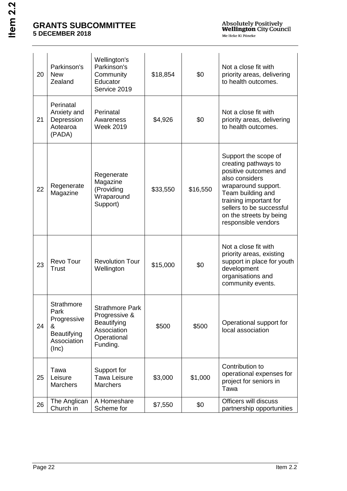| 20 | Parkinson's<br><b>New</b><br>Zealand                                                 | Wellington's<br>Parkinson's<br>Community<br>Educator<br>Service 2019                             | \$18,854 | \$0      | Not a close fit with<br>priority areas, delivering<br>to health outcomes.                                                                                                                                                                   |
|----|--------------------------------------------------------------------------------------|--------------------------------------------------------------------------------------------------|----------|----------|---------------------------------------------------------------------------------------------------------------------------------------------------------------------------------------------------------------------------------------------|
| 21 | Perinatal<br>Anxiety and<br>Depression<br>Aotearoa<br>(PADA)                         | Perinatal<br>Awareness<br><b>Week 2019</b>                                                       | \$4,926  | \$0      | Not a close fit with<br>priority areas, delivering<br>to health outcomes.                                                                                                                                                                   |
| 22 | Regenerate<br>Magazine                                                               | Regenerate<br>Magazine<br>(Providing<br>Wraparound<br>Support)                                   | \$33,550 | \$16,550 | Support the scope of<br>creating pathways to<br>positive outcomes and<br>also considers<br>wraparound support.<br>Team building and<br>training important for<br>sellers to be successful<br>on the streets by being<br>responsible vendors |
| 23 | Revo Tour<br>Trust                                                                   | <b>Revolution Tour</b><br>Wellington                                                             | \$15,000 | \$0      | Not a close fit with<br>priority areas, existing<br>support in place for youth<br>development<br>organisations and<br>community events.                                                                                                     |
| 24 | <b>Strathmore</b><br>Park<br>Progressive<br>&<br>Beautifying<br>Association<br>(Inc) | <b>Strathmore Park</b><br>Progressive &<br>Beautifying<br>Association<br>Operational<br>Funding. | \$500    | \$500    | Operational support for<br>local association                                                                                                                                                                                                |
| 25 | Tawa<br>Leisure<br><b>Marchers</b>                                                   | Support for<br><b>Tawa Leisure</b><br><b>Marchers</b>                                            | \$3,000  | \$1,000  | Contribution to<br>operational expenses for<br>project for seniors in<br>Tawa                                                                                                                                                               |
| 26 | The Anglican<br>Church in                                                            | A Homeshare<br>Scheme for                                                                        | \$7,550  | \$0      | Officers will discuss<br>partnership opportunities                                                                                                                                                                                          |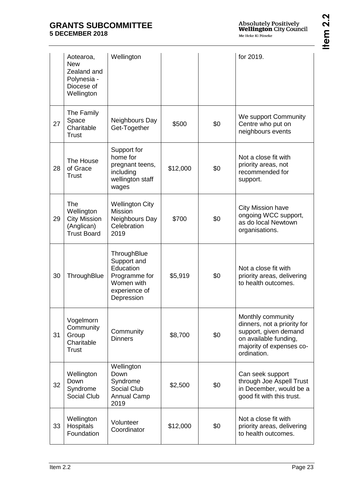|    | Aotearoa,<br><b>New</b><br>Zealand and<br>Polynesia -<br>Diocese of<br>Wellington   | Wellington                                                                                            |          |     | for 2019.                                                                                                                                     |
|----|-------------------------------------------------------------------------------------|-------------------------------------------------------------------------------------------------------|----------|-----|-----------------------------------------------------------------------------------------------------------------------------------------------|
| 27 | The Family<br>Space<br>Charitable<br><b>Trust</b>                                   | Neighbours Day<br>Get-Together                                                                        | \$500    | \$0 | We support Community<br>Centre who put on<br>neighbours events                                                                                |
| 28 | The House<br>of Grace<br><b>Trust</b>                                               | Support for<br>home for<br>pregnant teens,<br>including<br>wellington staff<br>wages                  | \$12,000 | \$0 | Not a close fit with<br>priority areas, not<br>recommended for<br>support.                                                                    |
| 29 | <b>The</b><br>Wellington<br><b>City Mission</b><br>(Anglican)<br><b>Trust Board</b> | <b>Wellington City</b><br><b>Mission</b><br>Neighbours Day<br>Celebration<br>2019                     | \$700    | \$0 | <b>City Mission have</b><br>ongoing WCC support,<br>as do local Newtown<br>organisations.                                                     |
| 30 | ThroughBlue                                                                         | ThroughBlue<br>Support and<br>Education<br>Programme for<br>Women with<br>experience of<br>Depression | \$5,919  | \$0 | Not a close fit with<br>priority areas, delivering<br>to health outcomes.                                                                     |
| 31 | Vogelmorn<br>Community<br>Group<br>Charitable<br><b>Trust</b>                       | Community<br><b>Dinners</b>                                                                           | \$8,700  | \$0 | Monthly community<br>dinners, not a priority for<br>support, given demand<br>on available funding,<br>majority of expenses co-<br>ordination. |
| 32 | Wellington<br>Down<br>Syndrome<br>Social Club                                       | Wellington<br>Down<br>Syndrome<br><b>Social Club</b><br><b>Annual Camp</b><br>2019                    | \$2,500  | \$0 | Can seek support<br>through Joe Aspell Trust<br>in December, would be a<br>good fit with this trust.                                          |
| 33 | Wellington<br>Hospitals<br>Foundation                                               | Volunteer<br>Coordinator                                                                              | \$12,000 | \$0 | Not a close fit with<br>priority areas, delivering<br>to health outcomes.                                                                     |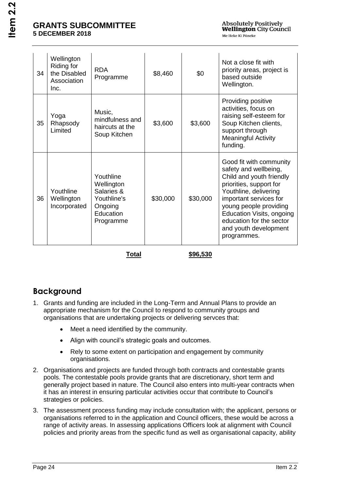| 34 | Wellington<br>Riding for<br>the Disabled<br>Association<br>Inc. | <b>RDA</b><br>Programme                                                                   | \$8,460  | \$0      | Not a close fit with<br>priority areas, project is<br>based outside<br>Wellington.                                                                                                                                                                                                    |  |  |
|----|-----------------------------------------------------------------|-------------------------------------------------------------------------------------------|----------|----------|---------------------------------------------------------------------------------------------------------------------------------------------------------------------------------------------------------------------------------------------------------------------------------------|--|--|
| 35 | Yoga<br>Rhapsody<br>Limited                                     | Music,<br>mindfulness and<br>haircuts at the<br>Soup Kitchen                              | \$3,600  | \$3,600  | Providing positive<br>activities, focus on<br>raising self-esteem for<br>Soup Kitchen clients,<br>support through<br><b>Meaningful Activity</b><br>funding.                                                                                                                           |  |  |
| 36 | Youthline<br>Wellington<br>Incorporated                         | Youthline<br>Wellington<br>Salaries &<br>Youthline's<br>Ongoing<br>Education<br>Programme | \$30,000 | \$30,000 | Good fit with community<br>safety and wellbeing,<br>Child and youth friendly<br>priorities, support for<br>Youthline, delivering<br>important services for<br>young people providing<br>Education Visits, ongoing<br>education for the sector<br>and youth development<br>programmes. |  |  |
|    |                                                                 |                                                                                           |          |          |                                                                                                                                                                                                                                                                                       |  |  |

**Total \$96,530**

## **Background**

- 1. Grants and funding are included in the Long-Term and Annual Plans to provide an appropriate mechanism for the Council to respond to community groups and organisations that are undertaking projects or delivering servces that:
	- Meet a need identified by the community.
	- Align with council's strategic goals and outcomes.
	- Rely to some extent on participation and engagement by community organisations.
- 2. Organisations and projects are funded through both contracts and contestable grants pools. The contestable pools provide grants that are discretionary, short term and generally project based in nature. The Council also enters into multi-year contracts when it has an interest in ensuring particular activities occur that contribute to Council's strategies or policies.
- 3. The assessment process funding may include consultation with; the applicant, persons or organisations referred to in the application and Council officers, these would be across a range of activity areas. In assessing applications Officers look at alignment with Council policies and priority areas from the specific fund as well as organisational capacity, ability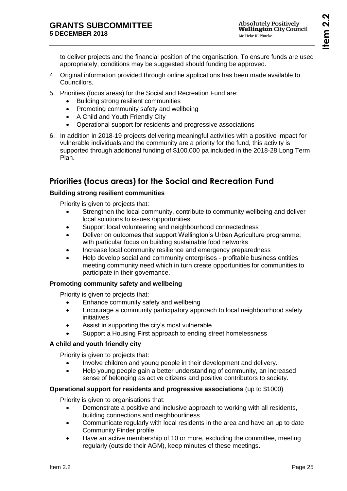to deliver projects and the financial position of the organisation. To ensure funds are used appropriately, conditions may be suggested should funding be approved.

- 4. Original information provided through online applications has been made available to Councillors.
- 5. Priorities (focus areas) for the Social and Recreation Fund are:
	- Building strong resilient communities
	- Promoting community safety and wellbeing
	- A Child and Youth Friendly City
	- Operational support for residents and progressive associations
- 6. In addition in 2018-19 projects delivering meaningful activities with a positive impact for vulnerable individuals and the community are a priority for the fund, this activity is supported through additional funding of \$100,000 pa included in the 2018-28 Long Term Plan.

## **Priorities (focus areas) for the Social and Recreation Fund**

## **Building strong resilient communities**

Priority is given to projects that:

- Strengthen the local community, contribute to community wellbeing and deliver local solutions to issues /opportunities
- Support local volunteering and neighbourhood connectedness
- Deliver on outcomes that support Wellington's Urban Agriculture programme; with particular focus on building sustainable food networks
- Increase local community resilience and emergency preparedness
- Help develop social and community enterprises profitable business entities meeting community need which in turn create opportunities for communities to participate in their governance.

## **Promoting community safety and wellbeing**

Priority is given to projects that:

- Enhance community safety and wellbeing
- Encourage a community participatory approach to local neighbourhood safety initiatives
- Assist in supporting the city's most vulnerable
- Support a Housing First approach to ending street homelessness

## **A child and youth friendly city**

Priority is given to projects that:

- Involve children and young people in their development and delivery.
- Help young people gain a better understanding of community, an increased sense of belonging as active citizens and positive contributors to society.

## **Operational support for residents and progressive associations** (up to \$1000)

Priority is given to organisations that:

- Demonstrate a positive and inclusive approach to working with all residents, building connections and neighbourliness
- Communicate regularly with local residents in the area and have an up to date Community Finder profile
- Have an active membership of 10 or more, excluding the committee, meeting regularly (outside their AGM), keep minutes of these meetings.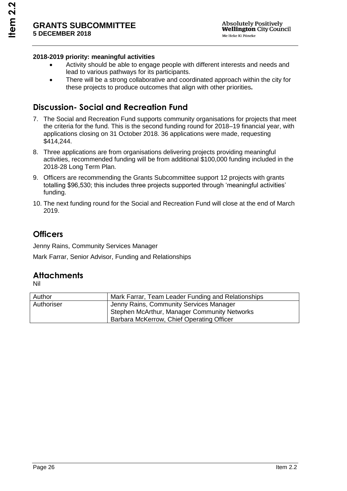### **2018-2019 priority: meaningful activities**

- Activity should be able to engage people with different interests and needs and lead to various pathways for its participants.
- There will be a strong collaborative and coordinated approach within the city for these projects to produce outcomes that align with other priorities**.**

## **Discussion- Social and Recreation Fund**

- 7. The Social and Recreation Fund supports community organisations for projects that meet the criteria for the fund. This is the second funding round for 2018–19 financial year, with applications closing on 31 October 2018. 36 applications were made, requesting \$414,244.
- 8. Three applications are from organisations delivering projects providing meaningful activities, recommended funding will be from additional \$100,000 funding included in the 2018-28 Long Term Plan.
- 9. Officers are recommending the Grants Subcommittee support 12 projects with grants totalling \$96,530; this includes three projects supported through 'meaningful activities' funding.
- 10. The next funding round for the Social and Recreation Fund will close at the end of March 2019.

## **Officers**

Jenny Rains, Community Services Manager Mark Farrar, Senior Advisor, Funding and Relationships

## **Attachments**

Nil

| Author     | Mark Farrar, Team Leader Funding and Relationships |
|------------|----------------------------------------------------|
| Authoriser | Jenny Rains, Community Services Manager            |
|            | Stephen McArthur, Manager Community Networks       |
|            | Barbara McKerrow, Chief Operating Officer          |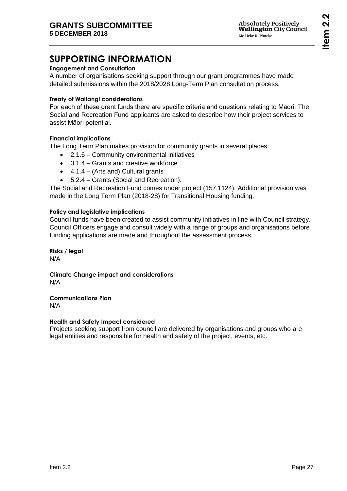# **SUPPORTING INFORMATION**

## **Engagement and Consultation**

A number of organisations seeking support through our grant programmes have made detailed submissions within the 2018/2028 Long-Term Plan consultation process.

### **Treaty of Waitangi considerations**

For each of these grant funds there are specific criteria and questions relating to Māori. The Social and Recreation Fund applicants are asked to describe how their project services to assist Māori potential.

### **Financial implications**

The Long Term Plan makes provision for community grants in several places:

- 2.1.6 Community environmental initiatives
- 3.1.4 Grants and creative workforce
- $\bullet$  4.1.4 (Arts and) Cultural grants
- 5.2.4 Grants (Social and Recreation).

The Social and Recreation Fund comes under project (157.1124). Additional provision was made in the Long Term Plan (2018-28) for Transitional Housing funding.

### **Policy and legislative implications**

Council funds have been created to assist community initiatives in line with Council strategy. Council Officers engage and consult widely with a range of groups and organisations before funding applications are made and throughout the assessment process.

**Risks / legal**  N/A

**Climate Change impact and considerations** N/A

**Communications Plan**

N/A

### **Health and Safety Impact considered**

Projects seeking support from council are delivered by organisations and groups who are legal entities and responsible for health and safety of the project, events, etc.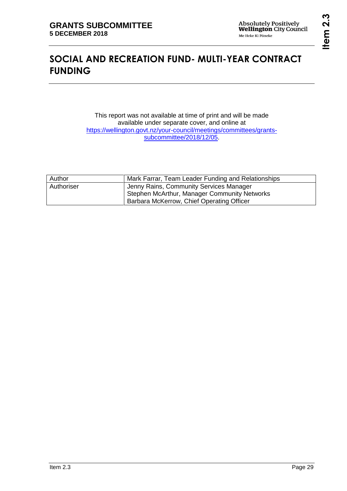## <span id="page-28-0"></span>**SOCIAL AND RECREATION FUND- MULTI-YEAR CONTRACT FUNDING**

This report was not available at time of print and will be made available under separate cover, and online at [https://wellington.govt.nz/your-council/meetings/committees/grants](https://wellington.govt.nz/your-council/meetings/committees/grants-subcommittee/2018/12/05)[subcommittee/2018/12/05.](https://wellington.govt.nz/your-council/meetings/committees/grants-subcommittee/2018/12/05)

| Author     | Mark Farrar, Team Leader Funding and Relationships |
|------------|----------------------------------------------------|
| Authoriser | Jenny Rains, Community Services Manager            |
|            | Stephen McArthur, Manager Community Networks       |
|            | Barbara McKerrow, Chief Operating Officer          |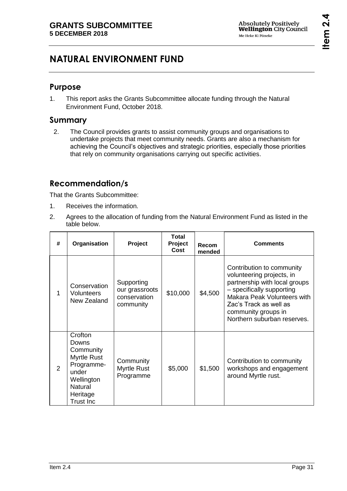# <span id="page-30-0"></span>**NATURAL ENVIRONMENT FUND**

## **Purpose**

1. This report asks the Grants Subcommittee allocate funding through the Natural Environment Fund, October 2018.

## **Summary**

2. The Council provides grants to assist community groups and organisations to undertake projects that meet community needs. Grants are also a mechanism for achieving the Council's objectives and strategic priorities, especially those priorities that rely on community organisations carrying out specific activities.

## **Recommendation/s**

That the Grants Subcommittee:

- 1. Receives the information.
- 2. Agrees to the allocation of funding from the Natural Environment Fund as listed in the table below.

| #             | Organisation                                                                                                                               | <b>Project</b>                                            | Total<br>Project<br>Cost | Recom<br>mended | <b>Comments</b>                                                                                                                                                                                                                     |
|---------------|--------------------------------------------------------------------------------------------------------------------------------------------|-----------------------------------------------------------|--------------------------|-----------------|-------------------------------------------------------------------------------------------------------------------------------------------------------------------------------------------------------------------------------------|
| 1             | Conservation<br>Volunteers<br>New Zealand                                                                                                  | Supporting<br>our grassroots<br>conservation<br>community | \$10,000                 | \$4,500         | Contribution to community<br>volunteering projects, in<br>partnership with local groups<br>- specifically supporting<br>Makara Peak Volunteers with<br>Zac's Track as well as<br>community groups in<br>Northern suburban reserves. |
| $\mathcal{P}$ | Crofton<br>Downs<br>Community<br><b>Myrtle Rust</b><br>Programme-<br>under<br>Wellington<br><b>Natural</b><br>Heritage<br><b>Trust Inc</b> | Community<br><b>Myrtle Rust</b><br>Programme              | \$5,000                  | \$1,500         | Contribution to community<br>workshops and engagement<br>around Myrtle rust.                                                                                                                                                        |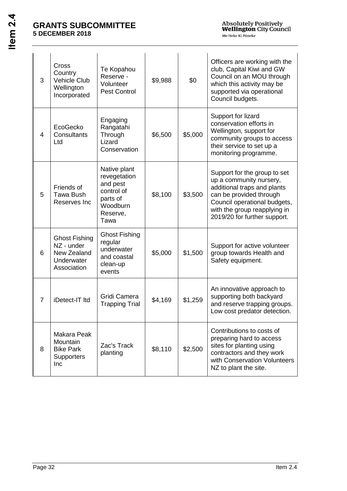| 3              | Cross<br>Country<br><b>Vehicle Club</b><br>Wellington<br>Incorporated          | Te Kopahou<br>Reserve -<br>Volunteer<br><b>Pest Control</b>                                        | \$9,988 | \$0     | Officers are working with the<br>club, Capital Kiwi and GW<br>Council on an MOU through<br>which this activity may be<br>supported via operational<br>Council budgets.                                            |
|----------------|--------------------------------------------------------------------------------|----------------------------------------------------------------------------------------------------|---------|---------|-------------------------------------------------------------------------------------------------------------------------------------------------------------------------------------------------------------------|
| 4              | EcoGecko<br>Consultants<br>Ltd                                                 | Engaging<br>Rangatahi<br>Through<br>Lizard<br>Conservation                                         | \$6,500 | \$5,000 | Support for lizard<br>conservation efforts in<br>Wellington, support for<br>community groups to access<br>their service to set up a<br>monitoring programme.                                                      |
| 5              | Friends of<br><b>Tawa Bush</b><br>Reserves Inc                                 | Native plant<br>revegetation<br>and pest<br>control of<br>parts of<br>Woodburn<br>Reserve,<br>Tawa | \$8,100 | \$3,500 | Support for the group to set<br>up a community nursery,<br>additional traps and plants<br>can be provided through<br>Council operational budgets,<br>with the group reapplying in<br>2019/20 for further support. |
| 6              | <b>Ghost Fishing</b><br>NZ - under<br>New Zealand<br>Underwater<br>Association | <b>Ghost Fishing</b><br>regular<br>underwater<br>and coastal<br>clean-up<br>events                 | \$5,000 | \$1,500 | Support for active volunteer<br>group towards Health and<br>Safety equipment.                                                                                                                                     |
| $\overline{7}$ | iDetect-IT Itd                                                                 | Gridi Camera<br><b>Trapping Trial</b>                                                              | \$4,169 | \$1,259 | An innovative approach to<br>supporting both backyard<br>and reserve trapping groups.<br>Low cost predator detection.                                                                                             |
| 8              | Makara Peak<br>Mountain<br><b>Bike Park</b><br><b>Supporters</b><br>Inc        | Zac's Track<br>planting                                                                            | \$8,110 | \$2,500 | Contributions to costs of<br>preparing hard to access<br>sites for planting using<br>contractors and they work<br>with Conservation Volunteers<br>NZ to plant the site.                                           |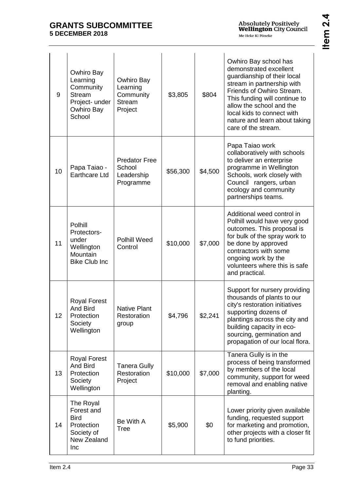| 9  | Owhiro Bay<br>Learning<br>Community<br><b>Stream</b><br>Project- under<br>Owhiro Bay<br>School | Owhiro Bay<br>Learning<br>Community<br><b>Stream</b><br>Project | \$3,805  | \$804   | Owhiro Bay school has<br>demonstrated excellent<br>quardianship of their local<br>stream in partnership with<br>Friends of Owhiro Stream.<br>This funding will continue to<br>allow the school and the<br>local kids to connect with<br>nature and learn about taking<br>care of the stream. |
|----|------------------------------------------------------------------------------------------------|-----------------------------------------------------------------|----------|---------|----------------------------------------------------------------------------------------------------------------------------------------------------------------------------------------------------------------------------------------------------------------------------------------------|
| 10 | Papa Taiao -<br><b>Earthcare Ltd</b>                                                           | <b>Predator Free</b><br>School<br>Leadership<br>Programme       | \$56,300 | \$4,500 | Papa Taiao work<br>collaboratively with schools<br>to deliver an enterprise<br>programme in Wellington<br>Schools, work closely with<br>Council rangers, urban<br>ecology and community<br>partnerships teams.                                                                               |
| 11 | Polhill<br>Protectors-<br>under<br>Wellington<br>Mountain<br><b>Bike Club Inc</b>              | <b>Polhill Weed</b><br>Control                                  | \$10,000 | \$7,000 | Additional weed control in<br>Polhill would have very good<br>outcomes. This proposal is<br>for bulk of the spray work to<br>be done by approved<br>contractors with some<br>ongoing work by the<br>volunteers where this is safe<br>and practical.                                          |
| 12 | <b>Royal Forest</b><br><b>And Bird</b><br>Protection<br>Society<br>Wellington                  | <b>Native Plant</b><br>Restoration<br>group                     | \$4,796  | \$2,241 | Support for nursery providing<br>thousands of plants to our<br>city's restoration initiatives<br>supporting dozens of<br>plantings across the city and<br>building capacity in eco-<br>sourcing, germination and<br>propagation of our local flora.                                          |
| 13 | <b>Royal Forest</b><br>And Bird<br>Protection<br>Society<br>Wellington                         | <b>Tanera Gully</b><br>Restoration<br>Project                   | \$10,000 | \$7,000 | Tanera Gully is in the<br>process of being transformed<br>by members of the local<br>community, support for weed<br>removal and enabling native<br>planting.                                                                                                                                 |
| 14 | The Royal<br>Forest and<br><b>Bird</b><br>Protection<br>Society of<br>New Zealand<br>Inc       | Be With A<br><b>Tree</b>                                        | \$5,900  | \$0     | Lower priority given available<br>funding, requested support<br>for marketing and promotion,<br>other projects with a closer fit<br>to fund priorities.                                                                                                                                      |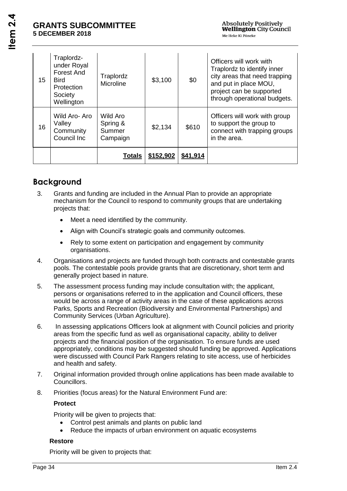| 15 | Traplordz-<br>under Royal<br><b>Forest And</b><br><b>Bird</b><br>Protection<br>Society<br>Wellington | Traplordz<br>Microline                     | \$3,100   | \$0      | Officers will work with<br>Traplordz to identify inner<br>city areas that need trapping<br>and put in place MOU,<br>project can be supported<br>through operational budgets. |
|----|------------------------------------------------------------------------------------------------------|--------------------------------------------|-----------|----------|------------------------------------------------------------------------------------------------------------------------------------------------------------------------------|
| 16 | Wild Aro-Aro<br>Valley<br>Community<br>Council Inc                                                   | Wild Aro<br>Spring &<br>Summer<br>Campaign | \$2,134   | \$610    | Officers will work with group<br>to support the group to<br>connect with trapping groups<br>in the area.                                                                     |
|    |                                                                                                      | Totals                                     | \$152,902 | \$41,914 |                                                                                                                                                                              |

## **Background**

- 3. Grants and funding are included in the Annual Plan to provide an appropriate mechanism for the Council to respond to community groups that are undertaking projects that:
	- Meet a need identified by the community.
	- Align with Council's strategic goals and community outcomes.
	- Rely to some extent on participation and engagement by community organisations.
- 4. Organisations and projects are funded through both contracts and contestable grants pools. The contestable pools provide grants that are discretionary, short term and generally project based in nature.
- 5. The assessment process funding may include consultation with; the applicant, persons or organisations referred to in the application and Council officers, these would be across a range of activity areas in the case of these applications across Parks, Sports and Recreation (Biodiversity and Environmental Partnerships) and Community Services (Urban Agriculture).
- 6. In assessing applications Officers look at alignment with Council policies and priority areas from the specific fund as well as organisational capacity, ability to deliver projects and the financial position of the organisation. To ensure funds are used appropriately, conditions may be suggested should funding be approved. Applications were discussed with Council Park Rangers relating to site access, use of herbicides and health and safety.
- 7. Original information provided through online applications has been made available to Councillors.
- 8. Priorities (focus areas) for the Natural Environment Fund are:

### **Protect**

Priority will be given to projects that:

- Control pest animals and plants on public land
- Reduce the impacts of urban environment on aquatic ecosystems

### **Restore**

Priority will be given to projects that: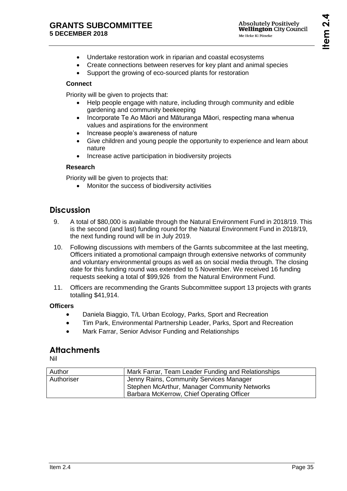- Undertake restoration work in riparian and coastal ecosystems
- Create connections between reserves for key plant and animal species
- Support the growing of eco-sourced plants for restoration

### **Connect**

Priority will be given to projects that:

- Help people engage with nature, including through community and edible gardening and community beekeeping
- Incorporate Te Ao Māori and Māturanga Māori, respecting mana whenua values and aspirations for the environment
- Increase people's awareness of nature
- Give children and young people the opportunity to experience and learn about nature
- Increase active participation in biodiversity projects

### **Research**

Priority will be given to projects that:

Monitor the success of biodiversity activities

## **Discussion**

- 9. A total of \$80,000 is available through the Natural Environment Fund in 2018/19. This is the second (and last) funding round for the Natural Environment Fund in 2018/19, the next funding round will be in July 2019.
- 10. Following discussions with members of the Garnts subcommitee at the last meeting, Officers initiated a promotional campaign through extensive networks of community and voluntary environmental groups as well as on social media through. The closing date for this funding round was extended to 5 November. We received 16 funding requests seeking a total of \$99,926 from the Natural Environment Fund.
- 11. Officers are recommending the Grants Subcommittee support 13 projects with grants totalling \$41,914.

### **Officers**

- Daniela Biaggio, T/L Urban Ecology, Parks, Sport and Recreation
- Tim Park, Environmental Partnership Leader, Parks, Sport and Recreation
- Mark Farrar, Senior Advisor Funding and Relationships

## **Attachments**

Nil

| Author     | Mark Farrar, Team Leader Funding and Relationships  |
|------------|-----------------------------------------------------|
| Authoriser | Jenny Rains, Community Services Manager             |
|            | <b>Stephen McArthur, Manager Community Networks</b> |
|            | Barbara McKerrow, Chief Operating Officer           |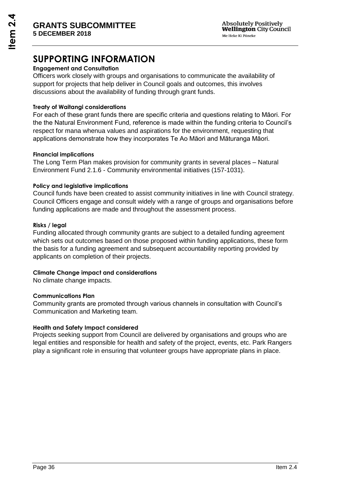## **SUPPORTING INFORMATION**

### **Engagement and Consultation**

Officers work closely with groups and organisations to communicate the availability of support for projects that help deliver in Council goals and outcomes, this involves discussions about the availability of funding through grant funds.

### **Treaty of Waitangi considerations**

For each of these grant funds there are specific criteria and questions relating to Māori. For the the Natural Environment Fund, reference is made within the funding criteria to Council's respect for mana whenua values and aspirations for the environment, requesting that applications demonstrate how they incorporates Te Ao Māori and Māturanga Māori.

### **Financial implications**

The Long Term Plan makes provision for community grants in several places – Natural Environment Fund 2.1.6 - Community environmental initiatives (157-1031).

### **Policy and legislative implications**

Council funds have been created to assist community initiatives in line with Council strategy. Council Officers engage and consult widely with a range of groups and organisations before funding applications are made and throughout the assessment process.

### **Risks / legal**

Funding allocated through community grants are subject to a detailed funding agreement which sets out outcomes based on those proposed within funding applications, these form the basis for a funding agreement and subsequent accountability reporting provided by applicants on completion of their projects.

### **Climate Change impact and considerations**

No climate change impacts.

### **Communications Plan**

Community grants are promoted through various channels in consultation with Council's Communication and Marketing team.

### **Health and Safety Impact considered**

Projects seeking support from Council are delivered by organisations and groups who are legal entities and responsible for health and safety of the project, events, etc. Park Rangers play a significant role in ensuring that volunteer groups have appropriate plans in place.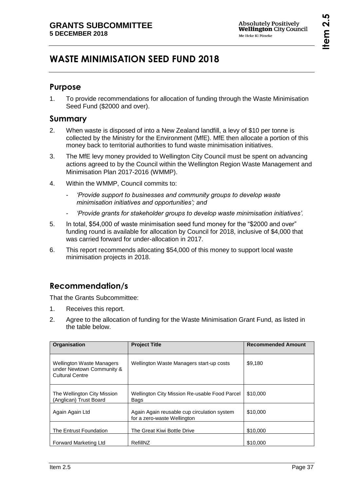# <span id="page-36-0"></span>**WASTE MINIMISATION SEED FUND 2018**

## **Purpose**

1. To provide recommendations for allocation of funding through the Waste Minimisation Seed Fund (\$2000 and over).

### **Summary**

- 2. When waste is disposed of into a New Zealand landfill, a levy of \$10 per tonne is collected by the Ministry for the Environment (MfE). MfE then allocate a portion of this money back to territorial authorities to fund waste minimisation initiatives.
- 3. The MfE levy money provided to Wellington City Council must be spent on advancing actions agreed to by the Council within the Wellington Region Waste Management and Minimisation Plan 2017-2016 (WMMP).
- 4. Within the WMMP, Council commits to:
	- *'Provide support to businesses and community groups to develop waste minimisation initiatives and opportunities'; and*
	- *'Provide grants for stakeholder groups to develop waste minimisation initiatives'.*
- 5. In total, \$54,000 of waste minimisation seed fund money for the "\$2000 and over" funding round is available for allocation by Council for 2018, inclusive of \$4,000 that was carried forward for under-allocation in 2017.
- 6. This report recommends allocating \$54,000 of this money to support local waste minimisation projects in 2018.

## **Recommendation/s**

That the Grants Subcommittee:

- 1. Receives this report.
- 2. Agree to the allocation of funding for the Waste Minimisation Grant Fund, as listed in the table below.

| Organisation                                                                            | <b>Project Title</b>                                                       | <b>Recommended Amount</b> |
|-----------------------------------------------------------------------------------------|----------------------------------------------------------------------------|---------------------------|
| <b>Wellington Waste Managers</b><br>under Newtown Community &<br><b>Cultural Centre</b> | Wellington Waste Managers start-up costs                                   | \$9,180                   |
| The Wellington City Mission<br>(Anglican) Trust Board                                   | Wellington City Mission Re-usable Food Parcel<br>Bags                      | \$10,000                  |
| Again Again Ltd                                                                         | Again Again reusable cup circulation system<br>for a zero-waste Wellington | \$10,000                  |
| The Entrust Foundation                                                                  | The Great Kiwi Bottle Drive                                                | \$10,000                  |
| <b>Forward Marketing Ltd</b>                                                            | RefillNZ                                                                   | \$10,000                  |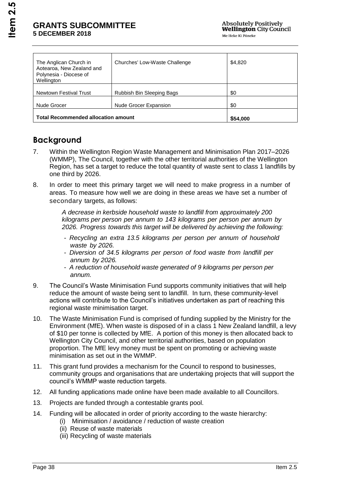| The Anglican Church in<br>Aotearoa, New Zealand and<br>Polynesia - Diocese of<br>Wellington | Churches' Low-Waste Challenge | \$4,820  |
|---------------------------------------------------------------------------------------------|-------------------------------|----------|
| Newtown Festival Trust                                                                      | Rubbish Bin Sleeping Bags     | \$0      |
| Nude Grocer                                                                                 | <b>Nude Grocer Expansion</b>  | \$0      |
| <b>Total Recommended allocation amount</b>                                                  |                               | \$54,000 |

## **Background**

- 7. Within the Wellington Region Waste Management and Minimisation Plan 2017–2026 (WMMP), The Council, together with the other territorial authorities of the Wellington Region, has set a target to reduce the total quantity of waste sent to class 1 landfills by one third by 2026.
- 8. In order to meet this primary target we will need to make progress in a number of areas. To measure how well we are doing in these areas we have set a number of secondary targets, as follows:

*A decrease in kerbside household waste to landfill from approximately 200 kilograms per person per annum to 143 kilograms per person per annum by 2026. Progress towards this target will be delivered by achieving the following:*

- *Recycling an extra 13.5 kilograms per person per annum of household waste by 2026.*
- *Diversion of 34.5 kilograms per person of food waste from landfill per annum by 2026.*
- *A reduction of household waste generated of 9 kilograms per person per annum.*
- 9. The Council's Waste Minimisation Fund supports community initiatives that will help reduce the amount of waste being sent to landfill. In turn, these community-level actions will contribute to the Council's initiatives undertaken as part of reaching this regional waste minimisation target.
- 10. The Waste Minimisation Fund is comprised of funding supplied by the Ministry for the Environment (MfE). When waste is disposed of in a class 1 New Zealand landfill, a levy of \$10 per tonne is collected by MfE. A portion of this money is then allocated back to Wellington City Council, and other territorial authorities, based on population proportion. The MfE levy money must be spent on promoting or achieving waste minimisation as set out in the WMMP.
- 11. This grant fund provides a mechanism for the Council to respond to businesses, community groups and organisations that are undertaking projects that will support the council's WMMP waste reduction targets.
- 12. All funding applications made online have been made available to all Councillors.
- 13. Projects are funded through a contestable grants pool.
- 14. Funding will be allocated in order of priority according to the waste hierarchy:
	- (i) Minimisation / avoidance / reduction of waste creation
	- (ii) Reuse of waste materials
	- (iii) Recycling of waste materials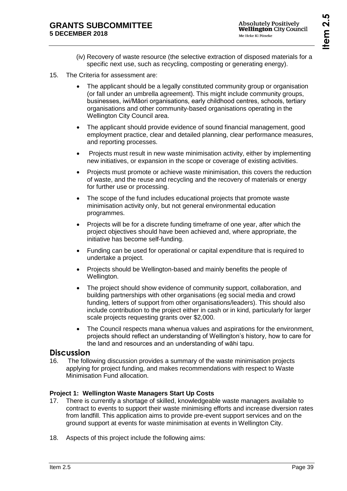- (iv) Recovery of waste resource (the selective extraction of disposed materials for a specific next use, such as recycling, composting or generating energy).
- 15. The Criteria for assessment are:
	- The applicant should be a legally constituted community group or organisation (or fall under an umbrella agreement). This might include community groups, businesses, iwi/Māori organisations, early childhood centres, schools, tertiary organisations and other community-based organisations operating in the Wellington City Council area.
	- The applicant should provide evidence of sound financial management, good employment practice, clear and detailed planning, clear performance measures, and reporting processes.
	- Projects must result in new waste minimisation activity, either by implementing new initiatives, or expansion in the scope or coverage of existing activities.
	- Projects must promote or achieve waste minimisation, this covers the reduction of waste, and the reuse and recycling and the recovery of materials or energy for further use or processing.
	- The scope of the fund includes educational projects that promote waste minimisation activity only, but not general environmental education programmes.
	- Projects will be for a discrete funding timeframe of one year, after which the project objectives should have been achieved and, where appropriate, the initiative has become self-funding.
	- Funding can be used for operational or capital expenditure that is required to undertake a project.
	- Projects should be Wellington-based and mainly benefits the people of Wellington.
	- The project should show evidence of community support, collaboration, and building partnerships with other organisations (eg social media and crowd funding, letters of support from other organisations/leaders). This should also include contribution to the project either in cash or in kind, particularly for larger scale projects requesting grants over \$2,000.
	- The Council respects mana whenua values and aspirations for the environment, projects should reflect an understanding of Wellington's history, how to care for the land and resources and an understanding of wāhi tapu.

### **Discussion**

16. The following discussion provides a summary of the waste minimisation projects applying for project funding, and makes recommendations with respect to Waste Minimisation Fund allocation.

### **Project 1: Wellington Waste Managers Start Up Costs**

- 17. There is currently a shortage of skilled, knowledgeable waste managers available to contract to events to support their waste minimising efforts and increase diversion rates from landfill. This application aims to provide pre-event support services and on the ground support at events for waste minimisation at events in Wellington City.
- 18. Aspects of this project include the following aims: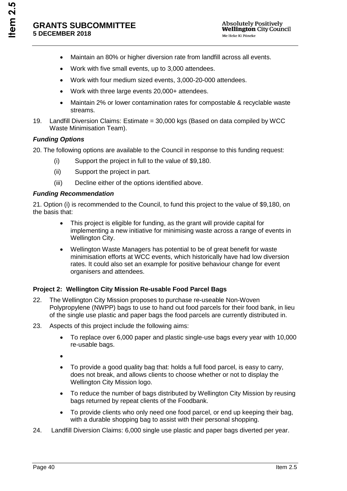- Maintain an 80% or higher diversion rate from landfill across all events.
- Work with five small events, up to 3,000 attendees.
- Work with four medium sized events, 3,000-20-000 attendees.
- Work with three large events 20,000+ attendees.
- Maintain 2% or lower contamination rates for compostable & recyclable waste streams.
- 19. Landfill Diversion Claims: Estimate = 30,000 kgs (Based on data compiled by WCC Waste Minimisation Team).

### *Funding Options*

20. The following options are available to the Council in response to this funding request:

- (i) Support the project in full to the value of \$9,180.
- (ii) Support the project in part.
- (iii) Decline either of the options identified above.

### *Funding Recommendation*

21. Option (i) is recommended to the Council, to fund this project to the value of \$9,180, on the basis that:

- This project is eligible for funding, as the grant will provide capital for implementing a new initiative for minimising waste across a range of events in Wellington City.
- Wellington Waste Managers has potential to be of great benefit for waste minimisation efforts at WCC events, which historically have had low diversion rates. It could also set an example for positive behaviour change for event organisers and attendees.

### **Project 2: Wellington City Mission Re-usable Food Parcel Bags**

- 22. The Wellington City Mission proposes to purchase re-useable Non-Woven Polypropylene (NWPP) bags to use to hand out food parcels for their food bank, in lieu of the single use plastic and paper bags the food parcels are currently distributed in.
- 23. Aspects of this project include the following aims:
	- To replace over 6,000 paper and plastic single-use bags every year with 10,000 re-usable bags.
	- $\blacktriangle$
	- To provide a good quality bag that: holds a full food parcel, is easy to carry, does not break, and allows clients to choose whether or not to display the Wellington City Mission logo.
	- To reduce the number of bags distributed by Wellington City Mission by reusing bags returned by repeat clients of the Foodbank.
	- To provide clients who only need one food parcel, or end up keeping their bag, with a durable shopping bag to assist with their personal shopping.
- 24. Landfill Diversion Claims: 6,000 single use plastic and paper bags diverted per year.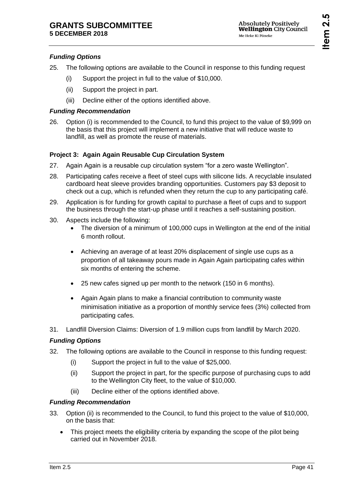## *Funding Options*

- 25. The following options are available to the Council in response to this funding request
	- (i) Support the project in full to the value of \$10,000.
	- (ii) Support the project in part.
	- (iii) Decline either of the options identified above.

### *Funding Recommendation*

26. Option (i) is recommended to the Council, to fund this project to the value of \$9,999 on the basis that this project will implement a new initiative that will reduce waste to landfill, as well as promote the reuse of materials.

## **Project 3: Again Again Reusable Cup Circulation System**

- 27. Again Again is a reusable cup circulation system "for a zero waste Wellington".
- 28. Participating cafes receive a fleet of steel cups with silicone lids. A recyclable insulated cardboard heat sleeve provides branding opportunities. Customers pay \$3 deposit to check out a cup, which is refunded when they return the cup to any participating café.
- 29. Application is for funding for growth capital to purchase a fleet of cups and to support the business through the start-up phase until it reaches a self-sustaining position.
- 30. Aspects include the following:
	- The diversion of a minimum of 100,000 cups in Wellington at the end of the initial 6 month rollout.
	- Achieving an average of at least 20% displacement of single use cups as a proportion of all takeaway pours made in Again Again participating cafes within six months of entering the scheme.
	- 25 new cafes signed up per month to the network (150 in 6 months).
	- Again Again plans to make a financial contribution to community waste minimisation initiative as a proportion of monthly service fees (3%) collected from participating cafes.
- 31. Landfill Diversion Claims: Diversion of 1.9 million cups from landfill by March 2020.

## *Funding Options*

- 32. The following options are available to the Council in response to this funding request:
	- (i) Support the project in full to the value of \$25,000.
	- (ii) Support the project in part, for the specific purpose of purchasing cups to add to the Wellington City fleet, to the value of \$10,000.
	- (iii) Decline either of the options identified above.

## *Funding Recommendation*

- 33. Option (ii) is recommended to the Council, to fund this project to the value of \$10,000, on the basis that:
	- This project meets the eligibility criteria by expanding the scope of the pilot being carried out in November 2018.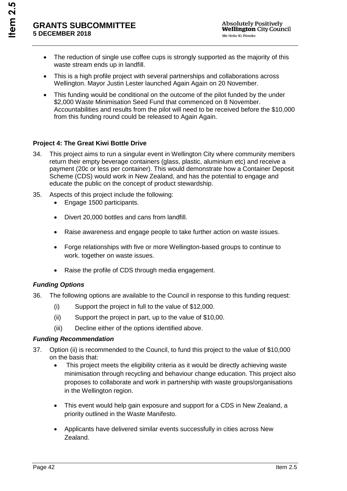- The reduction of single use coffee cups is strongly supported as the majority of this waste stream ends up in landfill.
- This is a high profile project with several partnerships and collaborations across Wellington. Mayor Justin Lester launched Again Again on 20 November.
- This funding would be conditional on the outcome of the pilot funded by the under \$2,000 Waste Minimisation Seed Fund that commenced on 8 November. Accountabilities and results from the pilot will need to be received before the \$10,000 from this funding round could be released to Again Again.

### **Project 4: The Great Kiwi Bottle Drive**

- 34. This project aims to run a singular event in Wellington City where community members return their empty beverage containers (glass, plastic, aluminium etc) and receive a payment (20c or less per container). This would demonstrate how a Container Deposit Scheme (CDS) would work in New Zealand, and has the potential to engage and educate the public on the concept of product stewardship.
- 35. Aspects of this project include the following:
	- Engage 1500 participants.
	- Divert 20,000 bottles and cans from landfill.
	- Raise awareness and engage people to take further action on waste issues.
	- Forge relationships with five or more Wellington-based groups to continue to work. together on waste issues.
	- Raise the profile of CDS through media engagement.

#### *Funding Options*

- 36. The following options are available to the Council in response to this funding request:
	- (i) Support the project in full to the value of \$12,000.
	- (ii) Support the project in part, up to the value of \$10,00.
	- (iii) Decline either of the options identified above.

#### *Funding Recommendation*

- 37. Option (ii) is recommended to the Council, to fund this project to the value of \$10,000 on the basis that:
	- This project meets the eligibility criteria as it would be directly achieving waste minimisation through recycling and behaviour change education. This project also proposes to collaborate and work in partnership with waste groups/organisations in the Wellington region.
	- This event would help gain exposure and support for a CDS in New Zealand, a priority outlined in the Waste Manifesto.
	- Applicants have delivered similar events successfully in cities across New Zealand.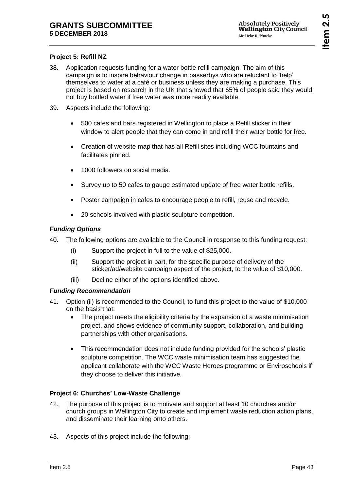## **Project 5: Refill NZ**

- 38. Application requests funding for a water bottle refill campaign. The aim of this campaign is to inspire behaviour change in passerbys who are reluctant to 'help' themselves to water at a café or business unless they are making a purchase. This project is based on research in the UK that showed that 65% of people said they would not buy bottled water if free water was more readily available.
- 39. Aspects include the following:
	- 500 cafes and bars registered in Wellington to place a Refill sticker in their window to alert people that they can come in and refill their water bottle for free.
	- Creation of website map that has all Refill sites including WCC fountains and facilitates pinned.
	- 1000 followers on social media.
	- Survey up to 50 cafes to gauge estimated update of free water bottle refills.
	- Poster campaign in cafes to encourage people to refill, reuse and recycle.
	- 20 schools involved with plastic sculpture competition.

### *Funding Options*

- 40. The following options are available to the Council in response to this funding request:
	- (i) Support the project in full to the value of \$25,000.
	- (ii) Support the project in part, for the specific purpose of delivery of the sticker/ad/website campaign aspect of the project, to the value of \$10,000.
	- (iii) Decline either of the options identified above.

### *Funding Recommendation*

- 41. Option (ii) is recommended to the Council, to fund this project to the value of \$10,000 on the basis that:
	- The project meets the eligibility criteria by the expansion of a waste minimisation project, and shows evidence of community support, collaboration, and building partnerships with other organisations.
	- This recommendation does not include funding provided for the schools' plastic sculpture competition. The WCC waste minimisation team has suggested the applicant collaborate with the WCC Waste Heroes programme or Enviroschools if they choose to deliver this initiative.

### **Project 6: Churches' Low-Waste Challenge**

- 42. The purpose of this project is to motivate and support at least 10 churches and/or church groups in Wellington City to create and implement waste reduction action plans, and disseminate their learning onto others.
- 43. Aspects of this project include the following: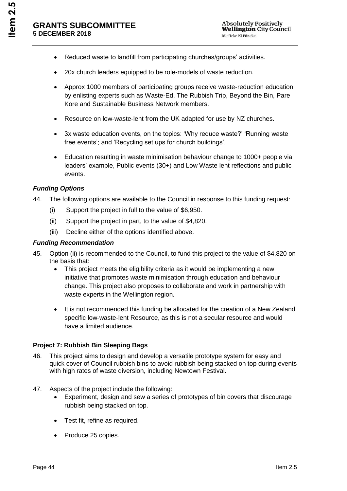- Reduced waste to landfill from participating churches/groups' activities.
- 20x church leaders equipped to be role-models of waste reduction.
- Approx 1000 members of participating groups receive waste-reduction education by enlisting experts such as Waste-Ed, The Rubbish Trip, Beyond the Bin, Pare Kore and Sustainable Business Network members.
- Resource on low-waste-lent from the UK adapted for use by NZ churches.
- 3x waste education events, on the topics: 'Why reduce waste?' 'Running waste free events'; and 'Recycling set ups for church buildings'.
- Education resulting in waste minimisation behaviour change to 1000+ people via leaders' example, Public events (30+) and Low Waste lent reflections and public events.

### *Funding Options*

- 44. The following options are available to the Council in response to this funding request:
	- (i) Support the project in full to the value of \$6,950.
	- (ii) Support the project in part, to the value of \$4,820.
	- (iii) Decline either of the options identified above.

### *Funding Recommendation*

- 45. Option (ii) is recommended to the Council, to fund this project to the value of \$4,820 on the basis that:
	- This project meets the eligibility criteria as it would be implementing a new initiative that promotes waste minimisation through education and behaviour change. This project also proposes to collaborate and work in partnership with waste experts in the Wellington region.
	- It is not recommended this funding be allocated for the creation of a New Zealand specific low-waste-lent Resource, as this is not a secular resource and would have a limited audience.

### **Project 7: Rubbish Bin Sleeping Bags**

- 46. This project aims to design and develop a versatile prototype system for easy and quick cover of Council rubbish bins to avoid rubbish being stacked on top during events with high rates of waste diversion, including Newtown Festival.
- 47. Aspects of the project include the following:
	- Experiment, design and sew a series of prototypes of bin covers that discourage rubbish being stacked on top.
	- Test fit, refine as required.
	- Produce 25 copies.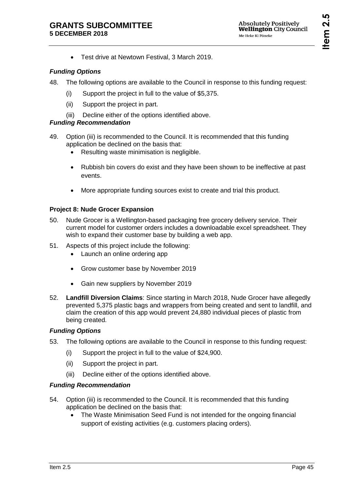Test drive at Newtown Festival, 3 March 2019.

### *Funding Options*

- 48. The following options are available to the Council in response to this funding request:
	- (i) Support the project in full to the value of \$5,375.
	- (ii) Support the project in part.
	- (iii) Decline either of the options identified above.

### *Funding Recommendation*

- 49. Option (iii) is recommended to the Council. It is recommended that this funding application be declined on the basis that:
	- Resulting waste minimisation is negligible.
	- Rubbish bin covers do exist and they have been shown to be ineffective at past events.
	- More appropriate funding sources exist to create and trial this product.

### **Project 8: Nude Grocer Expansion**

- 50. Nude Grocer is a Wellington-based packaging free grocery delivery service. Their current model for customer orders includes a downloadable excel spreadsheet. They wish to expand their customer base by building a web app.
- 51. Aspects of this project include the following:
	- Launch an online ordering app
	- Grow customer base by November 2019
	- Gain new suppliers by November 2019
- 52. **Landfill Diversion Claims**: Since starting in March 2018, Nude Grocer have allegedly prevented 5,375 plastic bags and wrappers from being created and sent to landfill, and claim the creation of this app would prevent 24,880 individual pieces of plastic from being created.

### *Funding Options*

- 53. The following options are available to the Council in response to this funding request:
	- (i) Support the project in full to the value of \$24,900.
	- (ii) Support the project in part.
	- (iii) Decline either of the options identified above.

### *Funding Recommendation*

- 54. Option (iii) is recommended to the Council. It is recommended that this funding application be declined on the basis that:
	- The Waste Minimisation Seed Fund is not intended for the ongoing financial support of existing activities (e.g. customers placing orders).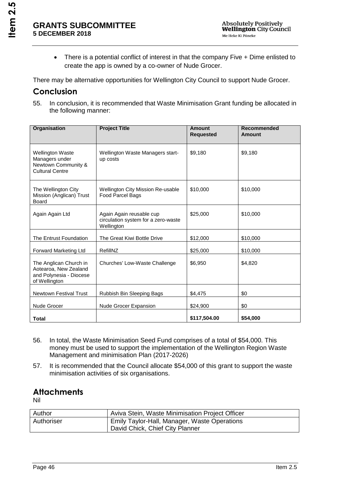• There is a potential conflict of interest in that the company Five + Dime enlisted to create the app is owned by a co-owner of Nude Grocer.

There may be alternative opportunities for Wellington City Council to support Nude Grocer.

## **Conclusion**

55. In conclusion, it is recommended that Waste Minimisation Grant funding be allocated in the following manner:

| <b>Organisation</b>                                                                         | <b>Project Title</b>                                                          | Amount<br><b>Requested</b> | Recommended<br>Amount |
|---------------------------------------------------------------------------------------------|-------------------------------------------------------------------------------|----------------------------|-----------------------|
| <b>Wellington Waste</b><br>Managers under<br>Newtown Community &<br><b>Cultural Centre</b>  | Wellington Waste Managers start-<br>up costs                                  | \$9,180                    | \$9,180               |
| The Wellington City<br>Mission (Anglican) Trust<br><b>Board</b>                             | <b>Wellington City Mission Re-usable</b><br>Food Parcel Bags                  | \$10,000                   | \$10,000              |
| Again Again Ltd                                                                             | Again Again reusable cup<br>circulation system for a zero-waste<br>Wellington | \$25,000                   | \$10,000              |
| The Entrust Foundation                                                                      | The Great Kiwi Bottle Drive                                                   | \$12,000                   | \$10,000              |
| Forward Marketing Ltd                                                                       | RefillNZ                                                                      | \$25,000                   | \$10,000              |
| The Anglican Church in<br>Aotearoa, New Zealand<br>and Polynesia - Diocese<br>of Wellington | Churches' Low-Waste Challenge                                                 | \$6,950                    | \$4,820               |
| <b>Newtown Festival Trust</b>                                                               | Rubbish Bin Sleeping Bags                                                     | \$4,475                    | \$0                   |
| Nude Grocer                                                                                 | Nude Grocer Expansion                                                         | \$24,900                   | \$0                   |
| <b>Total</b>                                                                                |                                                                               | \$117,504.00               | \$54,000              |

- 56. In total, the Waste Minimisation Seed Fund comprises of a total of \$54,000. This money must be used to support the implementation of the Wellington Region Waste Management and minimisation Plan (2017-2026)
- 57. It is recommended that the Council allocate \$54,000 of this grant to support the waste minimisation activities of six organisations.

## **Attachments**

Nil

| Author     | Aviva Stein, Waste Minimisation Project Officer |
|------------|-------------------------------------------------|
| Authoriser | Emily Taylor-Hall, Manager, Waste Operations    |
|            | David Chick, Chief City Planner                 |